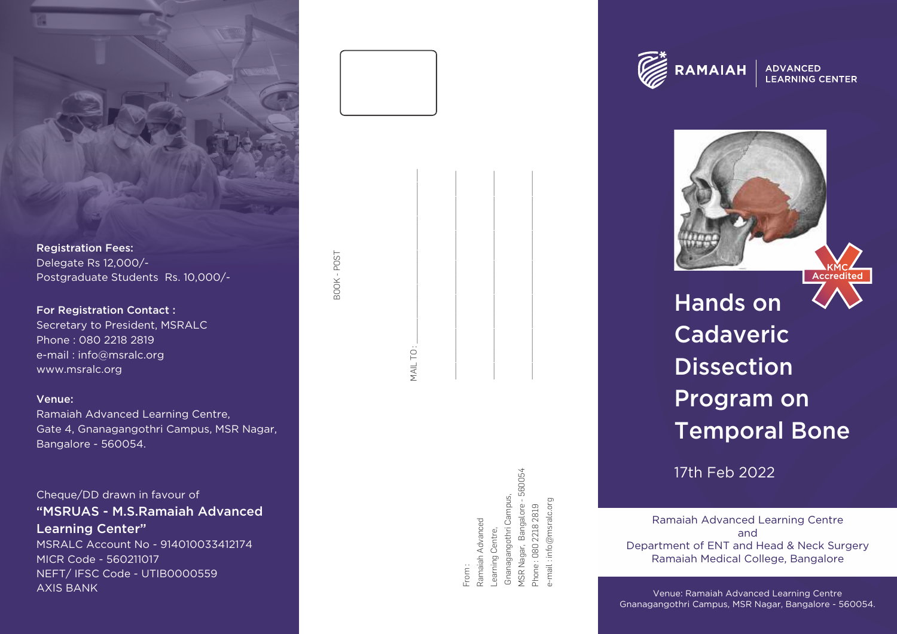

Registration Fees: Delegate Rs 12,000/- Postgraduate Students Rs. 10,000/-

For Registration Contact : Secretary to President, MSRALC Phone : 080 2218 2819 e-mail : info@msralc.org www.msralc.org

Venue:

Ramaiah Advanced Learning Centre, Gate 4, Gnanagangothri Campus, MSR Nagar, Bangalore - 560054.

Cheque/DD drawn in favour of "MSRUAS - M.S.Ramaiah Advanced Learning Center"

MSRALC Account No - 914010033412174 MICR Code - 560211017 NEFT/ IFSC Code - UTIB0000559 AXIS BANK

BOOK - POST

BOOK-POST

MSR Nagar, Bangalore - 560054 MSR Nagar, Bangalore - 560054 Gnanagangothri Campus, Gnanagangothri Campus, e-mail : info@msralc.org nfo@msralc.org Phone: 080 2218 2819 Phone : 080 2218 2819 Ramaiah Advanced Ramaiah Advanced Learning Centre, Learning Centre, From : e-mail

MAIL TO : \_\_\_\_\_\_\_\_\_\_\_\_\_\_\_\_\_\_\_\_\_\_\_\_\_\_\_\_\_\_\_\_\_\_\_\_\_\_\_\_\_ \_\_\_\_\_\_\_\_\_\_\_\_\_\_\_\_\_\_\_\_\_\_\_\_\_\_\_\_\_\_\_\_\_\_\_\_\_\_\_\_\_\_\_\_\_\_\_\_\_ \_\_\_\_\_\_\_\_\_\_\_\_\_\_\_\_\_\_\_\_\_\_\_\_\_\_\_\_\_\_\_\_\_\_\_\_\_\_\_\_\_\_\_\_\_\_\_\_\_ \_\_\_\_\_\_\_\_\_\_\_\_\_\_\_\_\_\_\_\_\_\_\_\_\_\_\_\_\_\_\_\_\_\_\_\_\_\_\_\_\_\_\_\_\_\_\_\_\_



**ADVANCED LEARNING CENTER** 



Hands on Cadaveric Dissection Program on Temporal Bone

17th Feb 2022

Ramaiah Advanced Learning Centre and Department of ENT and Head & Neck Surgery Ramaiah Medical College, Bangalore

Venue: Ramaiah Advanced Learning Centre Gnanagangothri Campus, MSR Nagar, Bangalore - 560054.